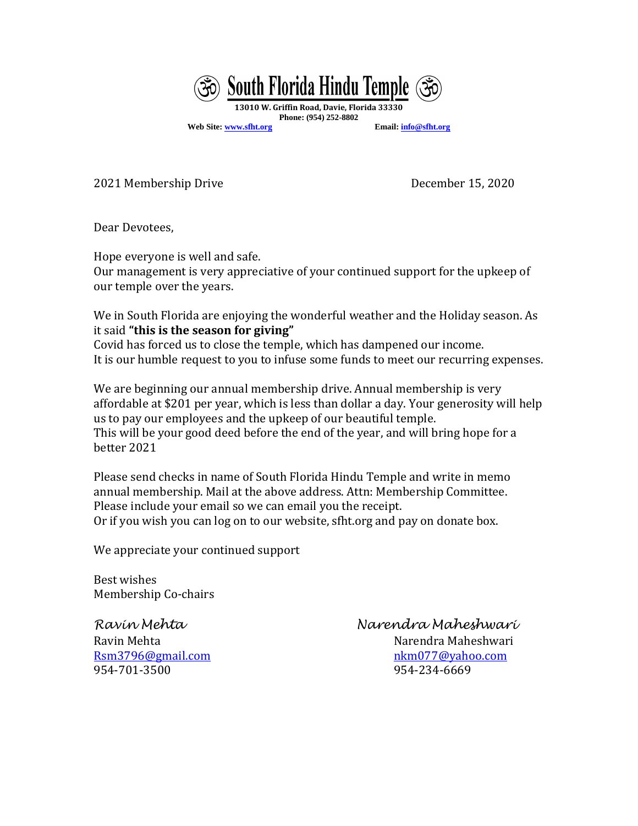

**Web Site[: www.sfht.org](http://www.sfht.org/) Email[: info@sfht.org](mailto:info@sfht.org)**

2021 Membership Drive December 15, 2020

Dear Devotees,

Hope everyone is well and safe.

Our management is very appreciative of your continued support for the upkeep of our temple over the years.

We in South Florida are enjoying the wonderful weather and the Holiday season. As it said **"this is the season for giving"**

Covid has forced us to close the temple, which has dampened our income. It is our humble request to you to infuse some funds to meet our recurring expenses.

We are beginning our annual membership drive. Annual membership is very affordable at \$201 per year, which is less than dollar a day. Your generosity will help us to pay our employees and the upkeep of our beautiful temple. This will be your good deed before the end of the year, and will bring hope for a better 2021

Please send checks in name of South Florida Hindu Temple and write in memo annual membership. Mail at the above address. Attn: Membership Committee. Please include your email so we can email you the receipt. Or if you wish you can log on to our website, sfht.org and pay on donate box.

We appreciate your continued support

Best wishes Membership Co-chairs

[Rsm3796@gmail.com](mailto:Rsm3796@gmail.com) [nkm077@yahoo.com](mailto:nkm077@yahoo.com) 954-701-3500 954-234-6669

*Ravin Mehta Narendra Maheshwari*

Ravin Mehta Narendra Maheshwari (Narendra Maheshwari Narendra Maheshwari )